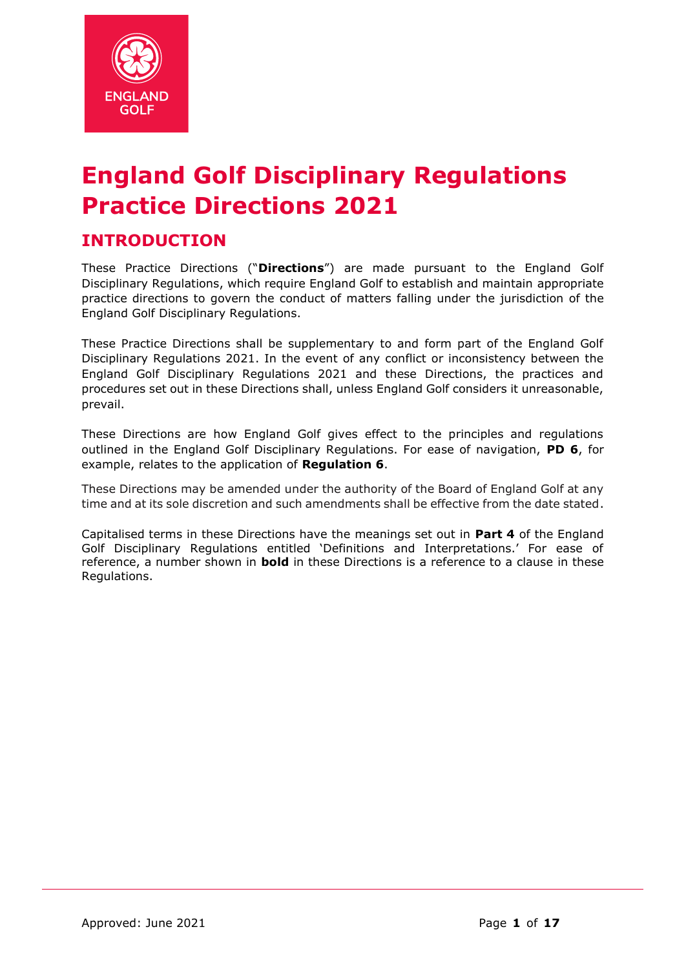

## **England Golf Disciplinary Regulations Practice Directions 2021**

## **INTRODUCTION**

These Practice Directions ("**Directions**") are made pursuant to the England Golf Disciplinary Regulations, which require England Golf to establish and maintain appropriate practice directions to govern the conduct of matters falling under the jurisdiction of the England Golf Disciplinary Regulations.

These Practice Directions shall be supplementary to and form part of the England Golf Disciplinary Regulations 2021. In the event of any conflict or inconsistency between the England Golf Disciplinary Regulations 2021 and these Directions, the practices and procedures set out in these Directions shall, unless England Golf considers it unreasonable, prevail.

These Directions are how England Golf gives effect to the principles and regulations outlined in the England Golf Disciplinary Regulations. For ease of navigation, **PD 6**, for example, relates to the application of **Regulation 6**.

These Directions may be amended under the authority of the Board of England Golf at any time and at its sole discretion and such amendments shall be effective from the date stated.

Capitalised terms in these Directions have the meanings set out in **Part 4** of the England Golf Disciplinary Regulations entitled 'Definitions and Interpretations.' For ease of reference, a number shown in **bold** in these Directions is a reference to a clause in these Regulations.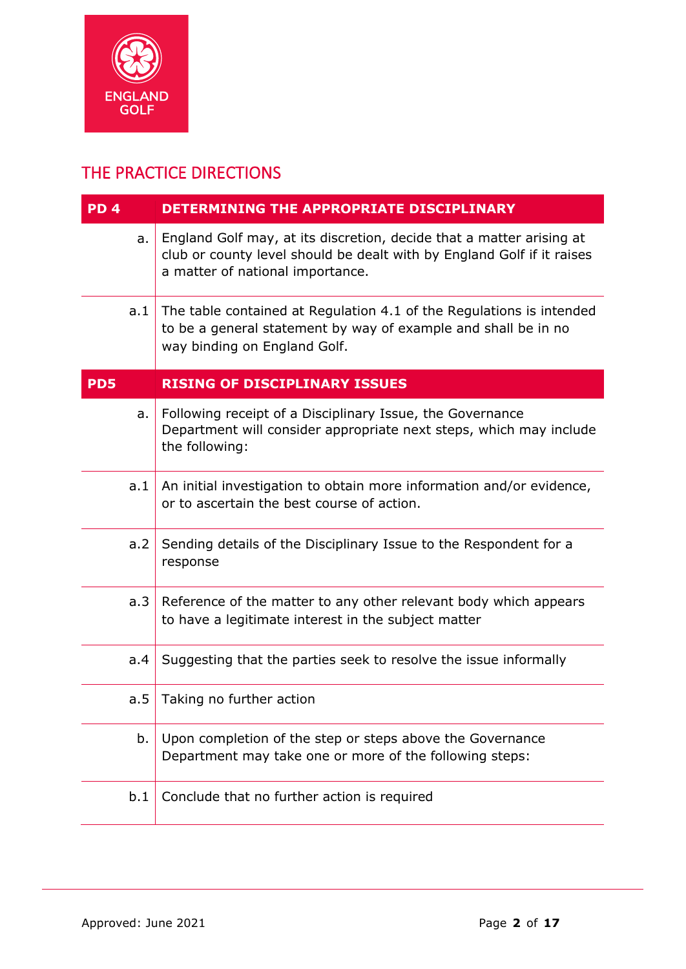

## THE PRACTICE DIRECTIONS

| PD <sub>4</sub> | DETERMINING THE APPROPRIATE DISCIPLINARY                                                                                                                                           |
|-----------------|------------------------------------------------------------------------------------------------------------------------------------------------------------------------------------|
| a.              | England Golf may, at its discretion, decide that a matter arising at<br>club or county level should be dealt with by England Golf if it raises<br>a matter of national importance. |
| a.1             | The table contained at Regulation 4.1 of the Regulations is intended<br>to be a general statement by way of example and shall be in no<br>way binding on England Golf.             |
| PD5             | <b>RISING OF DISCIPLINARY ISSUES</b>                                                                                                                                               |
| a.              | Following receipt of a Disciplinary Issue, the Governance<br>Department will consider appropriate next steps, which may include<br>the following:                                  |
| a.1             | An initial investigation to obtain more information and/or evidence,<br>or to ascertain the best course of action.                                                                 |
| a.2             | Sending details of the Disciplinary Issue to the Respondent for a<br>response                                                                                                      |
| a.3             | Reference of the matter to any other relevant body which appears<br>to have a legitimate interest in the subject matter                                                            |
| a.4             | Suggesting that the parties seek to resolve the issue informally                                                                                                                   |
| a.5             | Taking no further action                                                                                                                                                           |
| b.              | Upon completion of the step or steps above the Governance<br>Department may take one or more of the following steps:                                                               |
| b.1             | Conclude that no further action is required                                                                                                                                        |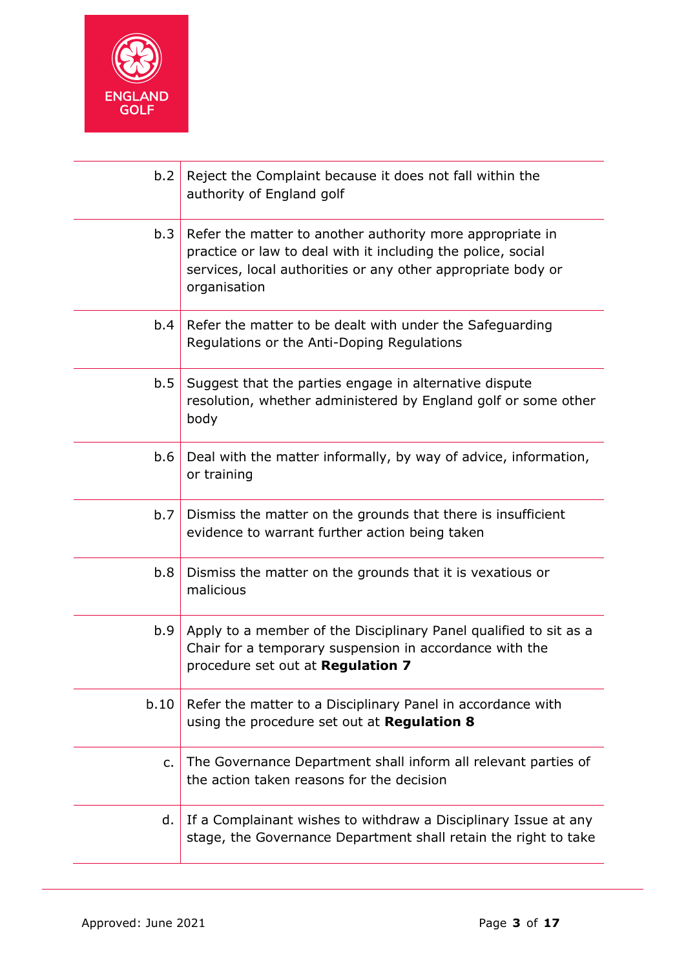

| b.2           | Reject the Complaint because it does not fall within the<br>authority of England golf                                                                                                                     |
|---------------|-----------------------------------------------------------------------------------------------------------------------------------------------------------------------------------------------------------|
| b.3           | Refer the matter to another authority more appropriate in<br>practice or law to deal with it including the police, social<br>services, local authorities or any other appropriate body or<br>organisation |
| b.4           | Refer the matter to be dealt with under the Safeguarding<br>Regulations or the Anti-Doping Regulations                                                                                                    |
| b.5           | Suggest that the parties engage in alternative dispute<br>resolution, whether administered by England golf or some other<br>body                                                                          |
| b.6           | Deal with the matter informally, by way of advice, information,<br>or training                                                                                                                            |
| b.7           | Dismiss the matter on the grounds that there is insufficient<br>evidence to warrant further action being taken                                                                                            |
| b.8           | Dismiss the matter on the grounds that it is vexatious or<br>malicious                                                                                                                                    |
| b.9           | Apply to a member of the Disciplinary Panel qualified to sit as a<br>Chair for a temporary suspension in accordance with the<br>procedure set out at Regulation 7                                         |
| b.10          | Refer the matter to a Disciplinary Panel in accordance with<br>using the procedure set out at Regulation 8                                                                                                |
| $C_{\bullet}$ | The Governance Department shall inform all relevant parties of<br>the action taken reasons for the decision                                                                                               |
| d.            | If a Complainant wishes to withdraw a Disciplinary Issue at any<br>stage, the Governance Department shall retain the right to take                                                                        |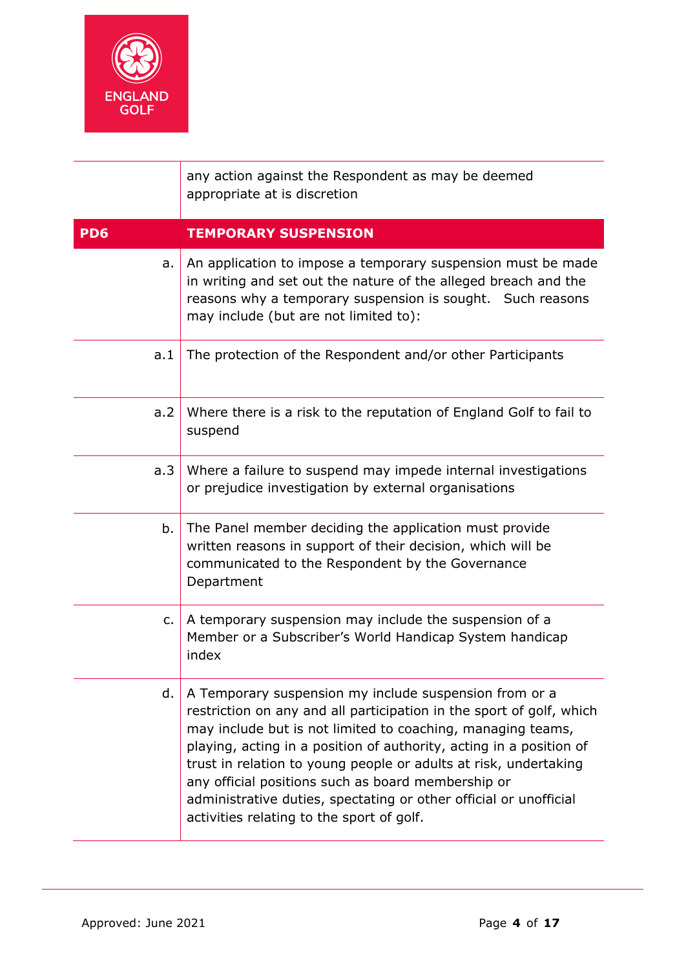

|                 | any action against the Respondent as may be deemed<br>appropriate at is discretion                                                                                                                                                                                                                                                                                                                                                                                                                               |
|-----------------|------------------------------------------------------------------------------------------------------------------------------------------------------------------------------------------------------------------------------------------------------------------------------------------------------------------------------------------------------------------------------------------------------------------------------------------------------------------------------------------------------------------|
| PD <sub>6</sub> | <b>TEMPORARY SUSPENSION</b>                                                                                                                                                                                                                                                                                                                                                                                                                                                                                      |
| a.              | An application to impose a temporary suspension must be made<br>in writing and set out the nature of the alleged breach and the<br>reasons why a temporary suspension is sought. Such reasons<br>may include (but are not limited to):                                                                                                                                                                                                                                                                           |
| a.1             | The protection of the Respondent and/or other Participants                                                                                                                                                                                                                                                                                                                                                                                                                                                       |
| a.2             | Where there is a risk to the reputation of England Golf to fail to<br>suspend                                                                                                                                                                                                                                                                                                                                                                                                                                    |
| a.3             | Where a failure to suspend may impede internal investigations<br>or prejudice investigation by external organisations                                                                                                                                                                                                                                                                                                                                                                                            |
| b.              | The Panel member deciding the application must provide<br>written reasons in support of their decision, which will be<br>communicated to the Respondent by the Governance<br>Department                                                                                                                                                                                                                                                                                                                          |
| $C_{1}$         | A temporary suspension may include the suspension of a<br>Member or a Subscriber's World Handicap System handicap<br>index                                                                                                                                                                                                                                                                                                                                                                                       |
| d.              | A Temporary suspension my include suspension from or a<br>restriction on any and all participation in the sport of golf, which<br>may include but is not limited to coaching, managing teams,<br>playing, acting in a position of authority, acting in a position of<br>trust in relation to young people or adults at risk, undertaking<br>any official positions such as board membership or<br>administrative duties, spectating or other official or unofficial<br>activities relating to the sport of golf. |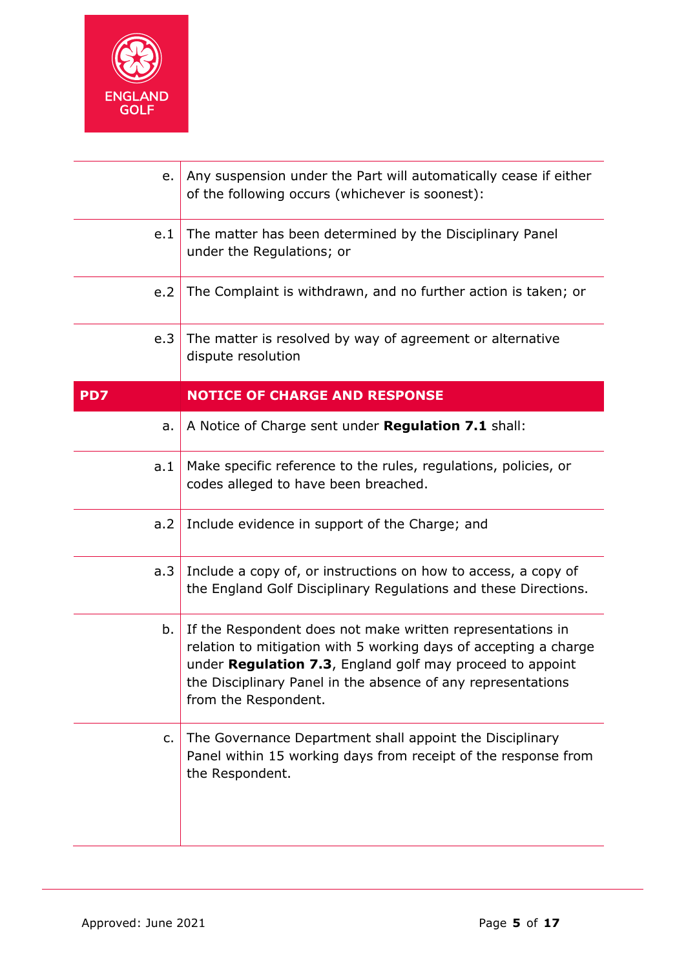

| e.  | Any suspension under the Part will automatically cease if either<br>of the following occurs (whichever is soonest):                                                                                                                                                                 |
|-----|-------------------------------------------------------------------------------------------------------------------------------------------------------------------------------------------------------------------------------------------------------------------------------------|
| e.1 | The matter has been determined by the Disciplinary Panel<br>under the Regulations; or                                                                                                                                                                                               |
| e.2 | The Complaint is withdrawn, and no further action is taken; or                                                                                                                                                                                                                      |
| e.3 | The matter is resolved by way of agreement or alternative<br>dispute resolution                                                                                                                                                                                                     |
| PD7 | <b>NOTICE OF CHARGE AND RESPONSE</b>                                                                                                                                                                                                                                                |
| a.  | A Notice of Charge sent under Regulation 7.1 shall:                                                                                                                                                                                                                                 |
| a.1 | Make specific reference to the rules, regulations, policies, or<br>codes alleged to have been breached.                                                                                                                                                                             |
| a.2 | Include evidence in support of the Charge; and                                                                                                                                                                                                                                      |
| a.3 | Include a copy of, or instructions on how to access, a copy of<br>the England Golf Disciplinary Regulations and these Directions.                                                                                                                                                   |
| b.  | If the Respondent does not make written representations in<br>relation to mitigation with 5 working days of accepting a charge<br>under Regulation 7.3, England golf may proceed to appoint<br>the Disciplinary Panel in the absence of any representations<br>from the Respondent. |
| c.  | The Governance Department shall appoint the Disciplinary<br>Panel within 15 working days from receipt of the response from<br>the Respondent.                                                                                                                                       |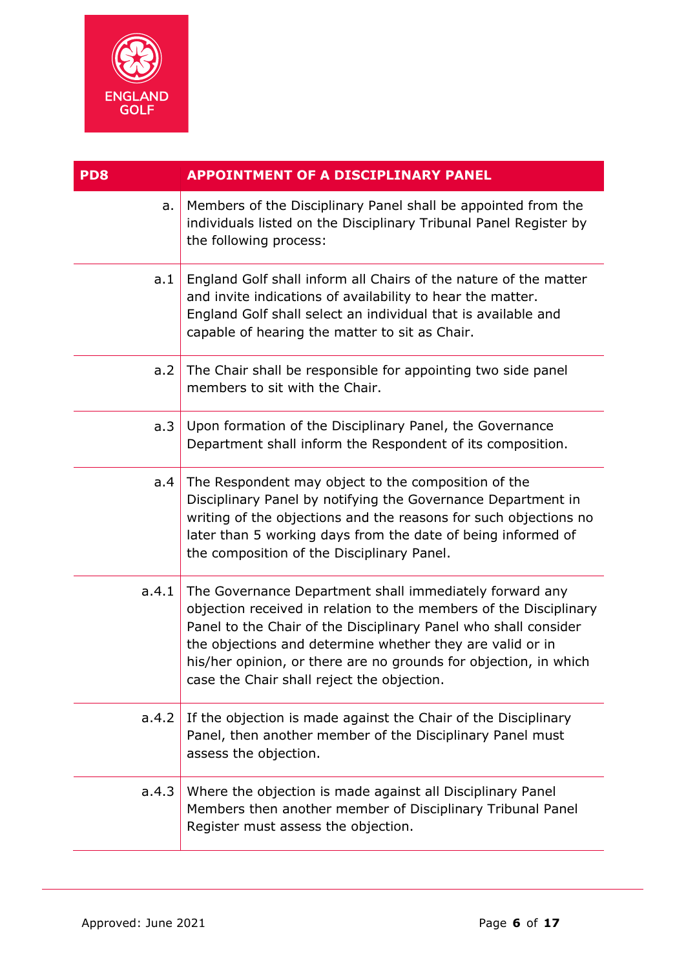

| PD <sub>8</sub> | <b>APPOINTMENT OF A DISCIPLINARY PANEL</b>                                                                                                                                                                                                                                                                                                                                     |
|-----------------|--------------------------------------------------------------------------------------------------------------------------------------------------------------------------------------------------------------------------------------------------------------------------------------------------------------------------------------------------------------------------------|
| a.              | Members of the Disciplinary Panel shall be appointed from the<br>individuals listed on the Disciplinary Tribunal Panel Register by<br>the following process:                                                                                                                                                                                                                   |
| a.1             | England Golf shall inform all Chairs of the nature of the matter<br>and invite indications of availability to hear the matter.<br>England Golf shall select an individual that is available and<br>capable of hearing the matter to sit as Chair.                                                                                                                              |
| a.2             | The Chair shall be responsible for appointing two side panel<br>members to sit with the Chair.                                                                                                                                                                                                                                                                                 |
| a.3             | Upon formation of the Disciplinary Panel, the Governance<br>Department shall inform the Respondent of its composition.                                                                                                                                                                                                                                                         |
| a.4             | The Respondent may object to the composition of the<br>Disciplinary Panel by notifying the Governance Department in<br>writing of the objections and the reasons for such objections no<br>later than 5 working days from the date of being informed of<br>the composition of the Disciplinary Panel.                                                                          |
| a.4.1           | The Governance Department shall immediately forward any<br>objection received in relation to the members of the Disciplinary<br>Panel to the Chair of the Disciplinary Panel who shall consider<br>the objections and determine whether they are valid or in<br>his/her opinion, or there are no grounds for objection, in which<br>case the Chair shall reject the objection. |
| a.4.2           | If the objection is made against the Chair of the Disciplinary<br>Panel, then another member of the Disciplinary Panel must<br>assess the objection.                                                                                                                                                                                                                           |
| a.4.3           | Where the objection is made against all Disciplinary Panel<br>Members then another member of Disciplinary Tribunal Panel<br>Register must assess the objection.                                                                                                                                                                                                                |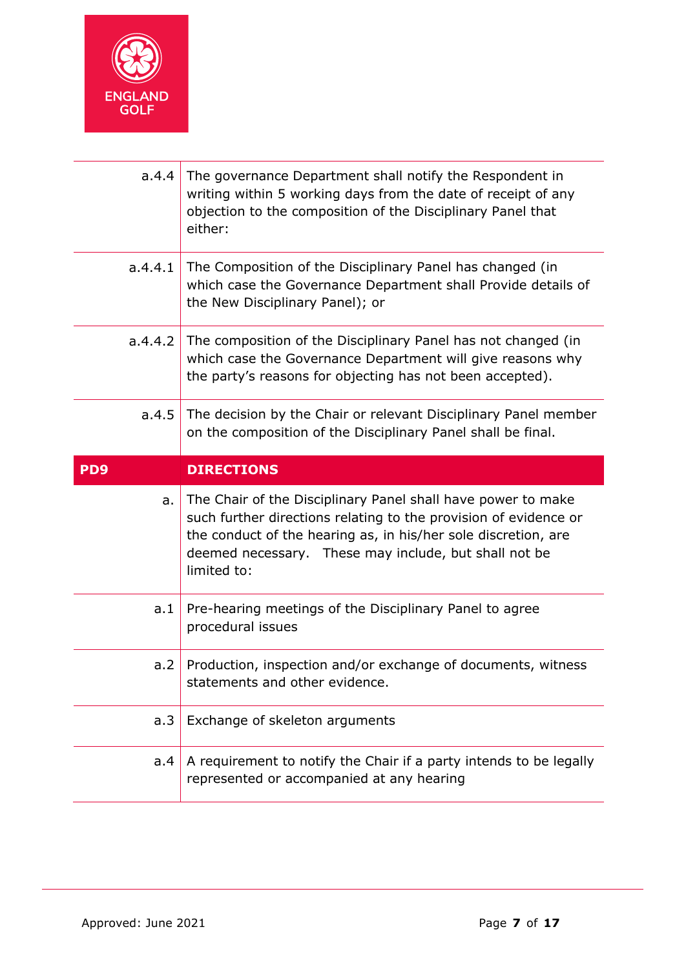

| a.4.4   | The governance Department shall notify the Respondent in<br>writing within 5 working days from the date of receipt of any<br>objection to the composition of the Disciplinary Panel that<br>either:                                                                        |
|---------|----------------------------------------------------------------------------------------------------------------------------------------------------------------------------------------------------------------------------------------------------------------------------|
| a.4.4.1 | The Composition of the Disciplinary Panel has changed (in<br>which case the Governance Department shall Provide details of<br>the New Disciplinary Panel); or                                                                                                              |
| a.4.4.2 | The composition of the Disciplinary Panel has not changed (in<br>which case the Governance Department will give reasons why<br>the party's reasons for objecting has not been accepted).                                                                                   |
| a.4.5   | The decision by the Chair or relevant Disciplinary Panel member<br>on the composition of the Disciplinary Panel shall be final.                                                                                                                                            |
| PD9     | <b>DIRECTIONS</b>                                                                                                                                                                                                                                                          |
|         |                                                                                                                                                                                                                                                                            |
| а.      | The Chair of the Disciplinary Panel shall have power to make<br>such further directions relating to the provision of evidence or<br>the conduct of the hearing as, in his/her sole discretion, are<br>deemed necessary. These may include, but shall not be<br>limited to: |
| a.1     | Pre-hearing meetings of the Disciplinary Panel to agree<br>procedural issues                                                                                                                                                                                               |
| a.2     | Production, inspection and/or exchange of documents, witness<br>statements and other evidence.                                                                                                                                                                             |
| a.3     | Exchange of skeleton arguments                                                                                                                                                                                                                                             |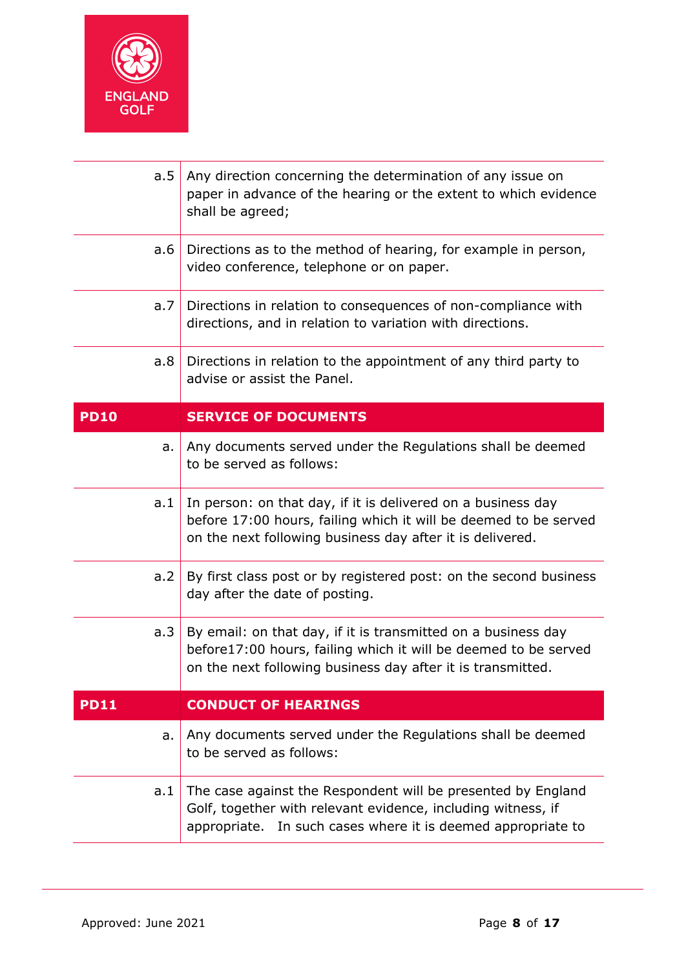

| a.5         | Any direction concerning the determination of any issue on<br>paper in advance of the hearing or the extent to which evidence<br>shall be agreed;                                               |
|-------------|-------------------------------------------------------------------------------------------------------------------------------------------------------------------------------------------------|
| a.6         | Directions as to the method of hearing, for example in person,<br>video conference, telephone or on paper.                                                                                      |
| a.7         | Directions in relation to consequences of non-compliance with<br>directions, and in relation to variation with directions.                                                                      |
| a.8         | Directions in relation to the appointment of any third party to<br>advise or assist the Panel.                                                                                                  |
| <b>PD10</b> | <b>SERVICE OF DOCUMENTS</b>                                                                                                                                                                     |
| a.          | Any documents served under the Regulations shall be deemed<br>to be served as follows:                                                                                                          |
| a.1         | In person: on that day, if it is delivered on a business day<br>before 17:00 hours, failing which it will be deemed to be served<br>on the next following business day after it is delivered.   |
| a.2         | By first class post or by registered post: on the second business<br>day after the date of posting.                                                                                             |
| a.3         | By email: on that day, if it is transmitted on a business day<br>before17:00 hours, failing which it will be deemed to be served<br>on the next following business day after it is transmitted. |
| <b>PD11</b> | <b>CONDUCT OF HEARINGS</b>                                                                                                                                                                      |
| a.          | Any documents served under the Regulations shall be deemed<br>to be served as follows:                                                                                                          |
| a.1         | The case against the Respondent will be presented by England<br>Golf, together with relevant evidence, including witness, if<br>appropriate. In such cases where it is deemed appropriate to    |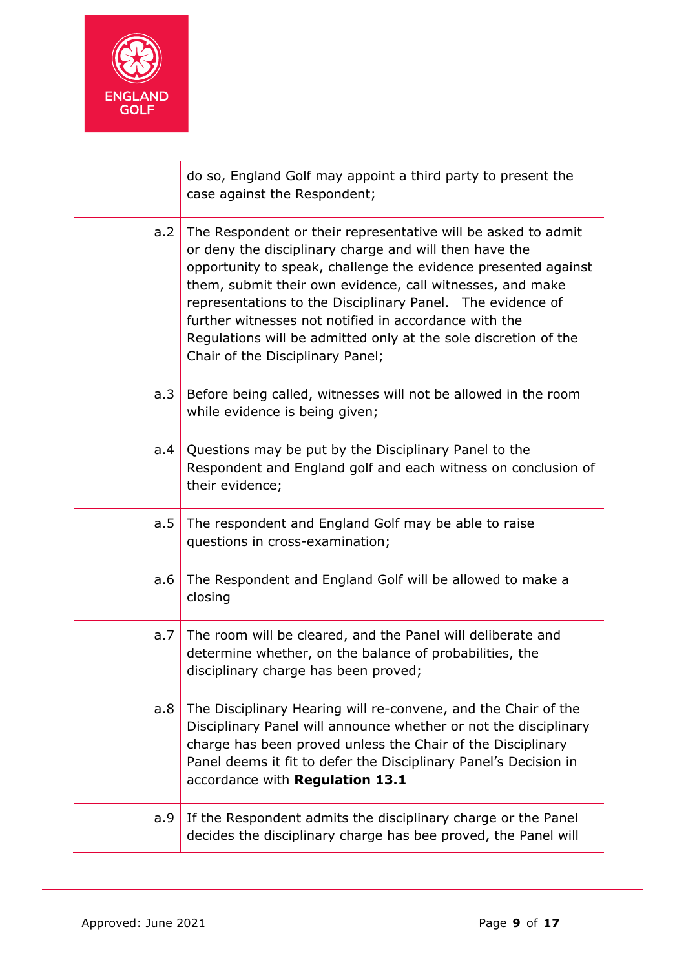

|     | do so, England Golf may appoint a third party to present the<br>case against the Respondent;                                                                                                                                                                                                                                                                                                                                                                                         |
|-----|--------------------------------------------------------------------------------------------------------------------------------------------------------------------------------------------------------------------------------------------------------------------------------------------------------------------------------------------------------------------------------------------------------------------------------------------------------------------------------------|
| a.2 | The Respondent or their representative will be asked to admit<br>or deny the disciplinary charge and will then have the<br>opportunity to speak, challenge the evidence presented against<br>them, submit their own evidence, call witnesses, and make<br>representations to the Disciplinary Panel. The evidence of<br>further witnesses not notified in accordance with the<br>Regulations will be admitted only at the sole discretion of the<br>Chair of the Disciplinary Panel; |
| a.3 | Before being called, witnesses will not be allowed in the room<br>while evidence is being given;                                                                                                                                                                                                                                                                                                                                                                                     |
| a.4 | Questions may be put by the Disciplinary Panel to the<br>Respondent and England golf and each witness on conclusion of<br>their evidence;                                                                                                                                                                                                                                                                                                                                            |
| a.5 | The respondent and England Golf may be able to raise<br>questions in cross-examination;                                                                                                                                                                                                                                                                                                                                                                                              |
| a.6 | The Respondent and England Golf will be allowed to make a<br>closing                                                                                                                                                                                                                                                                                                                                                                                                                 |
| a.7 | The room will be cleared, and the Panel will deliberate and<br>determine whether, on the balance of probabilities, the<br>disciplinary charge has been proved;                                                                                                                                                                                                                                                                                                                       |
| a.8 | The Disciplinary Hearing will re-convene, and the Chair of the<br>Disciplinary Panel will announce whether or not the disciplinary<br>charge has been proved unless the Chair of the Disciplinary<br>Panel deems it fit to defer the Disciplinary Panel's Decision in<br>accordance with Regulation 13.1                                                                                                                                                                             |
| a.9 | If the Respondent admits the disciplinary charge or the Panel<br>decides the disciplinary charge has bee proved, the Panel will                                                                                                                                                                                                                                                                                                                                                      |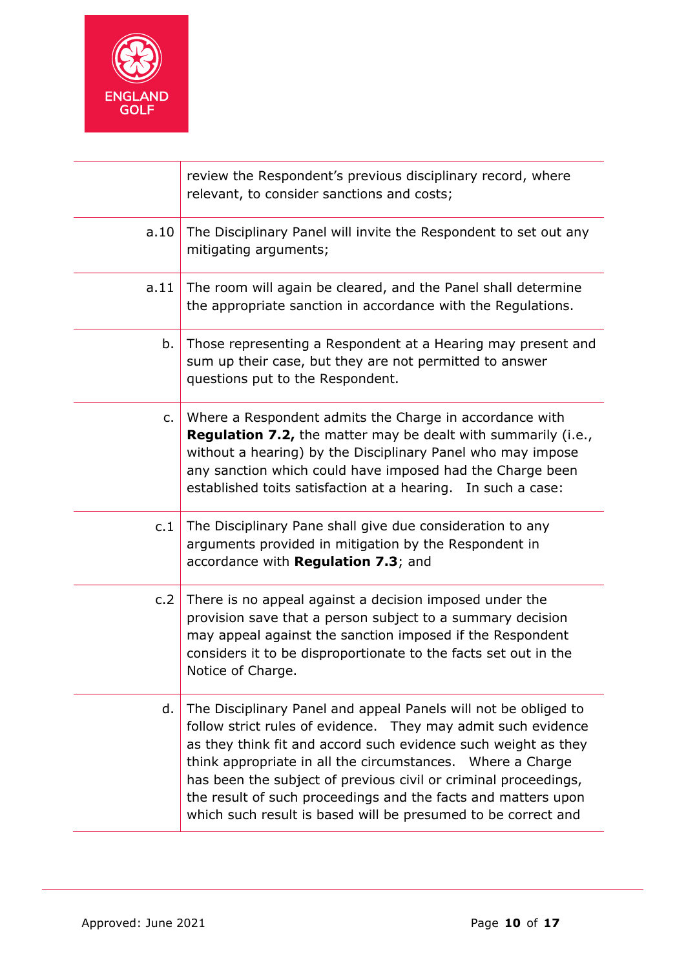

|               | review the Respondent's previous disciplinary record, where<br>relevant, to consider sanctions and costs;                                                                                                                                                                                                                                                                                                                                                             |
|---------------|-----------------------------------------------------------------------------------------------------------------------------------------------------------------------------------------------------------------------------------------------------------------------------------------------------------------------------------------------------------------------------------------------------------------------------------------------------------------------|
| a.10          | The Disciplinary Panel will invite the Respondent to set out any<br>mitigating arguments;                                                                                                                                                                                                                                                                                                                                                                             |
| a.11          | The room will again be cleared, and the Panel shall determine<br>the appropriate sanction in accordance with the Regulations.                                                                                                                                                                                                                                                                                                                                         |
| b.            | Those representing a Respondent at a Hearing may present and<br>sum up their case, but they are not permitted to answer<br>questions put to the Respondent.                                                                                                                                                                                                                                                                                                           |
| $C_{\bullet}$ | Where a Respondent admits the Charge in accordance with<br>Regulation 7.2, the matter may be dealt with summarily (i.e.,<br>without a hearing) by the Disciplinary Panel who may impose<br>any sanction which could have imposed had the Charge been<br>established toits satisfaction at a hearing. In such a case:                                                                                                                                                  |
| c.1           | The Disciplinary Pane shall give due consideration to any<br>arguments provided in mitigation by the Respondent in<br>accordance with Regulation 7.3; and                                                                                                                                                                                                                                                                                                             |
| c.2           | There is no appeal against a decision imposed under the<br>provision save that a person subject to a summary decision<br>may appeal against the sanction imposed if the Respondent<br>considers it to be disproportionate to the facts set out in the<br>Notice of Charge.                                                                                                                                                                                            |
| d.            | The Disciplinary Panel and appeal Panels will not be obliged to<br>follow strict rules of evidence. They may admit such evidence<br>as they think fit and accord such evidence such weight as they<br>think appropriate in all the circumstances. Where a Charge<br>has been the subject of previous civil or criminal proceedings,<br>the result of such proceedings and the facts and matters upon<br>which such result is based will be presumed to be correct and |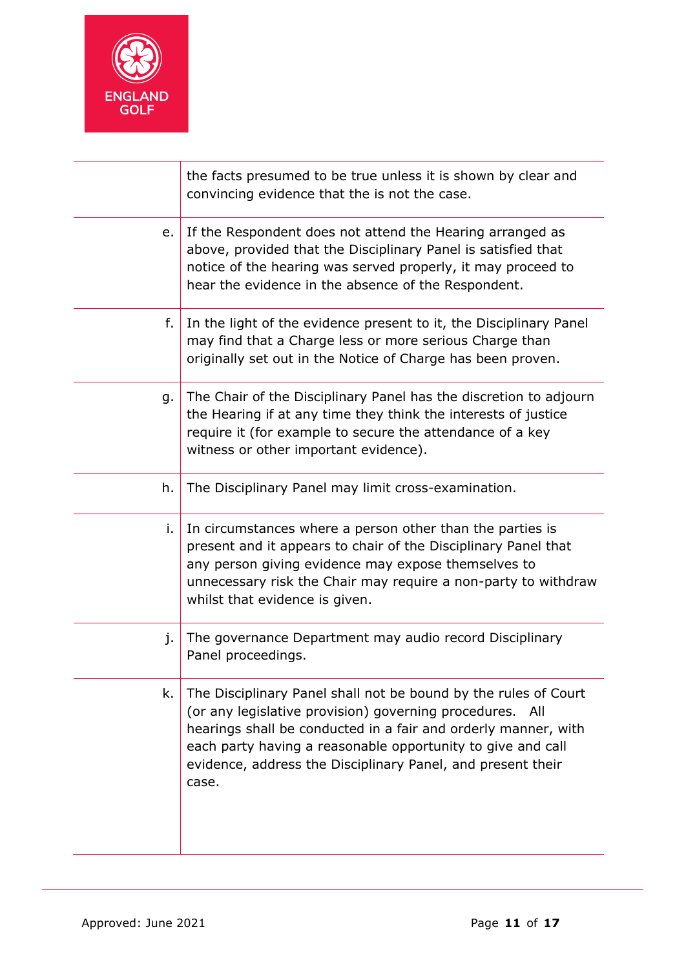

|    | the facts presumed to be true unless it is shown by clear and<br>convincing evidence that the is not the case.                                                                                                                                                                                                                       |
|----|--------------------------------------------------------------------------------------------------------------------------------------------------------------------------------------------------------------------------------------------------------------------------------------------------------------------------------------|
| е. | If the Respondent does not attend the Hearing arranged as<br>above, provided that the Disciplinary Panel is satisfied that<br>notice of the hearing was served properly, it may proceed to<br>hear the evidence in the absence of the Respondent.                                                                                    |
| f. | In the light of the evidence present to it, the Disciplinary Panel<br>may find that a Charge less or more serious Charge than<br>originally set out in the Notice of Charge has been proven.                                                                                                                                         |
| g. | The Chair of the Disciplinary Panel has the discretion to adjourn<br>the Hearing if at any time they think the interests of justice<br>require it (for example to secure the attendance of a key<br>witness or other important evidence).                                                                                            |
| h. | The Disciplinary Panel may limit cross-examination.                                                                                                                                                                                                                                                                                  |
| i. | In circumstances where a person other than the parties is<br>present and it appears to chair of the Disciplinary Panel that<br>any person giving evidence may expose themselves to<br>unnecessary risk the Chair may require a non-party to withdraw<br>whilst that evidence is given.                                               |
| j. | The governance Department may audio record Disciplinary<br>Panel proceedings.                                                                                                                                                                                                                                                        |
| k. | The Disciplinary Panel shall not be bound by the rules of Court<br>(or any legislative provision) governing procedures. All<br>hearings shall be conducted in a fair and orderly manner, with<br>each party having a reasonable opportunity to give and call<br>evidence, address the Disciplinary Panel, and present their<br>case. |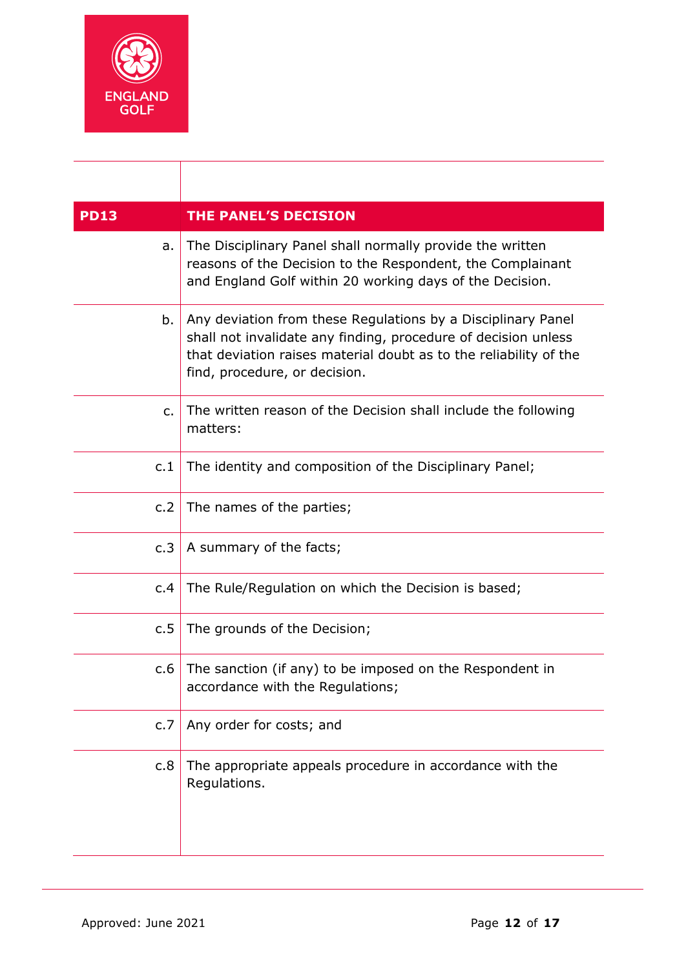

| <b>PD13</b>   | THE PANEL'S DECISION                                                                                                                                                                                                                 |
|---------------|--------------------------------------------------------------------------------------------------------------------------------------------------------------------------------------------------------------------------------------|
| a.            | The Disciplinary Panel shall normally provide the written<br>reasons of the Decision to the Respondent, the Complainant<br>and England Golf within 20 working days of the Decision.                                                  |
| b.            | Any deviation from these Regulations by a Disciplinary Panel<br>shall not invalidate any finding, procedure of decision unless<br>that deviation raises material doubt as to the reliability of the<br>find, procedure, or decision. |
| $C_{\bullet}$ | The written reason of the Decision shall include the following<br>matters:                                                                                                                                                           |
| c.1           | The identity and composition of the Disciplinary Panel;                                                                                                                                                                              |
| c.2           | The names of the parties;                                                                                                                                                                                                            |
| c.3           | A summary of the facts;                                                                                                                                                                                                              |
| c.4           | The Rule/Regulation on which the Decision is based;                                                                                                                                                                                  |
| c.5           | The grounds of the Decision;                                                                                                                                                                                                         |
| c.6           | The sanction (if any) to be imposed on the Respondent in<br>accordance with the Regulations;                                                                                                                                         |
| c.7           | Any order for costs; and                                                                                                                                                                                                             |
| c.8           | The appropriate appeals procedure in accordance with the<br>Regulations.                                                                                                                                                             |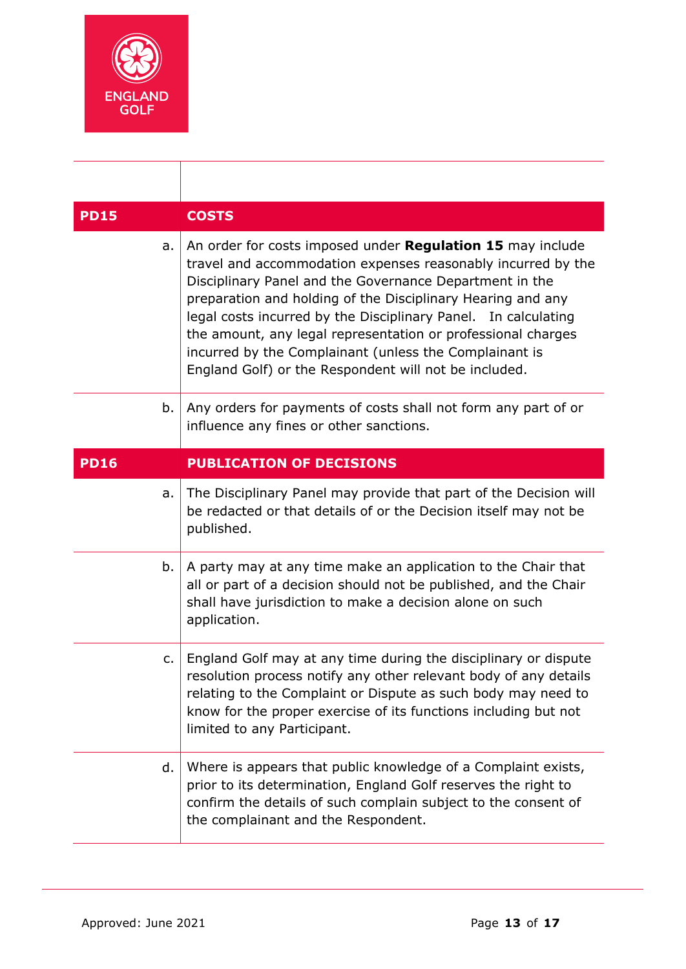

| <b>PD15</b>   | <b>COSTS</b>                                                                                                                                                                                                                                                                                                                                                                                                                                                                                              |
|---------------|-----------------------------------------------------------------------------------------------------------------------------------------------------------------------------------------------------------------------------------------------------------------------------------------------------------------------------------------------------------------------------------------------------------------------------------------------------------------------------------------------------------|
| a.            | An order for costs imposed under Regulation 15 may include<br>travel and accommodation expenses reasonably incurred by the<br>Disciplinary Panel and the Governance Department in the<br>preparation and holding of the Disciplinary Hearing and any<br>legal costs incurred by the Disciplinary Panel. In calculating<br>the amount, any legal representation or professional charges<br>incurred by the Complainant (unless the Complainant is<br>England Golf) or the Respondent will not be included. |
| b.            | Any orders for payments of costs shall not form any part of or<br>influence any fines or other sanctions.                                                                                                                                                                                                                                                                                                                                                                                                 |
| <b>PD16</b>   | <b>PUBLICATION OF DECISIONS</b>                                                                                                                                                                                                                                                                                                                                                                                                                                                                           |
| a.            | The Disciplinary Panel may provide that part of the Decision will<br>be redacted or that details of or the Decision itself may not be<br>published.                                                                                                                                                                                                                                                                                                                                                       |
| b.            | A party may at any time make an application to the Chair that<br>all or part of a decision should not be published, and the Chair<br>shall have jurisdiction to make a decision alone on such<br>application.                                                                                                                                                                                                                                                                                             |
| $C_{\bullet}$ | England Golf may at any time during the disciplinary or dispute<br>resolution process notify any other relevant body of any details<br>relating to the Complaint or Dispute as such body may need to<br>know for the proper exercise of its functions including but not<br>limited to any Participant.                                                                                                                                                                                                    |
| d.            | Where is appears that public knowledge of a Complaint exists,<br>prior to its determination, England Golf reserves the right to<br>confirm the details of such complain subject to the consent of<br>the complainant and the Respondent.                                                                                                                                                                                                                                                                  |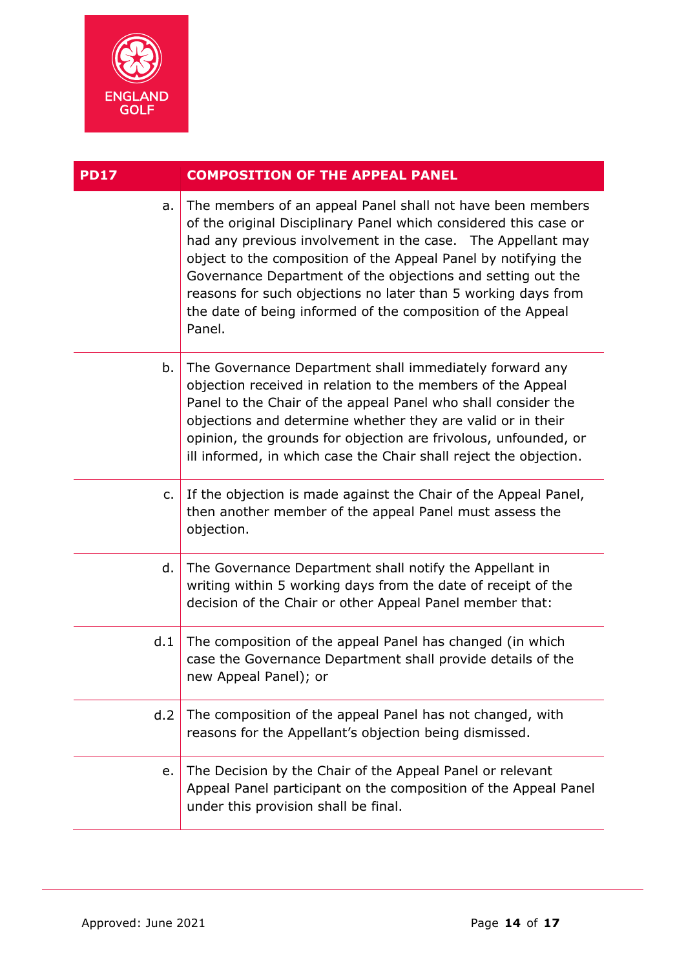

| <b>PD17</b> | <b>COMPOSITION OF THE APPEAL PANEL</b>                                                                                                                                                                                                                                                                                                                                                                                                                                   |
|-------------|--------------------------------------------------------------------------------------------------------------------------------------------------------------------------------------------------------------------------------------------------------------------------------------------------------------------------------------------------------------------------------------------------------------------------------------------------------------------------|
| a.          | The members of an appeal Panel shall not have been members<br>of the original Disciplinary Panel which considered this case or<br>had any previous involvement in the case. The Appellant may<br>object to the composition of the Appeal Panel by notifying the<br>Governance Department of the objections and setting out the<br>reasons for such objections no later than 5 working days from<br>the date of being informed of the composition of the Appeal<br>Panel. |
| b.          | The Governance Department shall immediately forward any<br>objection received in relation to the members of the Appeal<br>Panel to the Chair of the appeal Panel who shall consider the<br>objections and determine whether they are valid or in their<br>opinion, the grounds for objection are frivolous, unfounded, or<br>ill informed, in which case the Chair shall reject the objection.                                                                           |
| c.          | If the objection is made against the Chair of the Appeal Panel,<br>then another member of the appeal Panel must assess the<br>objection.                                                                                                                                                                                                                                                                                                                                 |
| d.          | The Governance Department shall notify the Appellant in<br>writing within 5 working days from the date of receipt of the<br>decision of the Chair or other Appeal Panel member that:                                                                                                                                                                                                                                                                                     |
| d.1         | The composition of the appeal Panel has changed (in which<br>case the Governance Department shall provide details of the<br>new Appeal Panel); or                                                                                                                                                                                                                                                                                                                        |
| d.2         | The composition of the appeal Panel has not changed, with<br>reasons for the Appellant's objection being dismissed.                                                                                                                                                                                                                                                                                                                                                      |
| e.          | The Decision by the Chair of the Appeal Panel or relevant<br>Appeal Panel participant on the composition of the Appeal Panel<br>under this provision shall be final.                                                                                                                                                                                                                                                                                                     |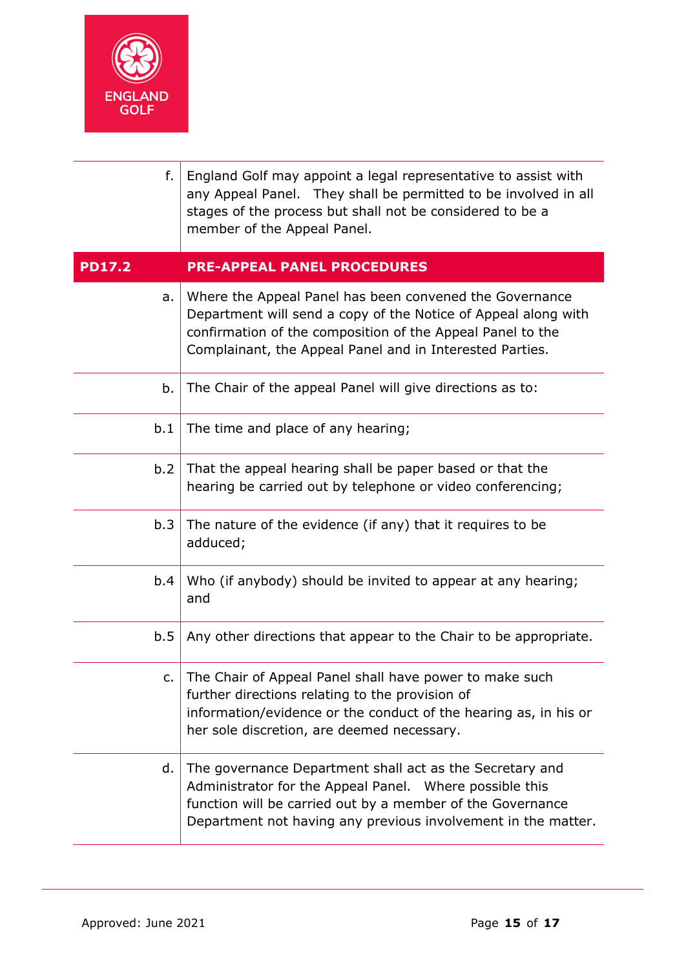

| f.            | England Golf may appoint a legal representative to assist with<br>any Appeal Panel. They shall be permitted to be involved in all<br>stages of the process but shall not be considered to be a<br>member of the Appeal Panel.                       |
|---------------|-----------------------------------------------------------------------------------------------------------------------------------------------------------------------------------------------------------------------------------------------------|
| <b>PD17.2</b> | <b>PRE-APPEAL PANEL PROCEDURES</b>                                                                                                                                                                                                                  |
| a.            | Where the Appeal Panel has been convened the Governance<br>Department will send a copy of the Notice of Appeal along with<br>confirmation of the composition of the Appeal Panel to the<br>Complainant, the Appeal Panel and in Interested Parties. |
| b.            | The Chair of the appeal Panel will give directions as to:                                                                                                                                                                                           |
| b.1           | The time and place of any hearing;                                                                                                                                                                                                                  |
| b.2           | That the appeal hearing shall be paper based or that the<br>hearing be carried out by telephone or video conferencing;                                                                                                                              |
| b.3           | The nature of the evidence (if any) that it requires to be<br>adduced;                                                                                                                                                                              |
| b.4           | Who (if anybody) should be invited to appear at any hearing;<br>and                                                                                                                                                                                 |
| b.5           | Any other directions that appear to the Chair to be appropriate.                                                                                                                                                                                    |
| c.            | The Chair of Appeal Panel shall have power to make such<br>further directions relating to the provision of<br>information/evidence or the conduct of the hearing as, in his or<br>her sole discretion, are deemed necessary.                        |
| d.            | The governance Department shall act as the Secretary and<br>Administrator for the Appeal Panel. Where possible this<br>function will be carried out by a member of the Governance<br>Department not having any previous involvement in the matter.  |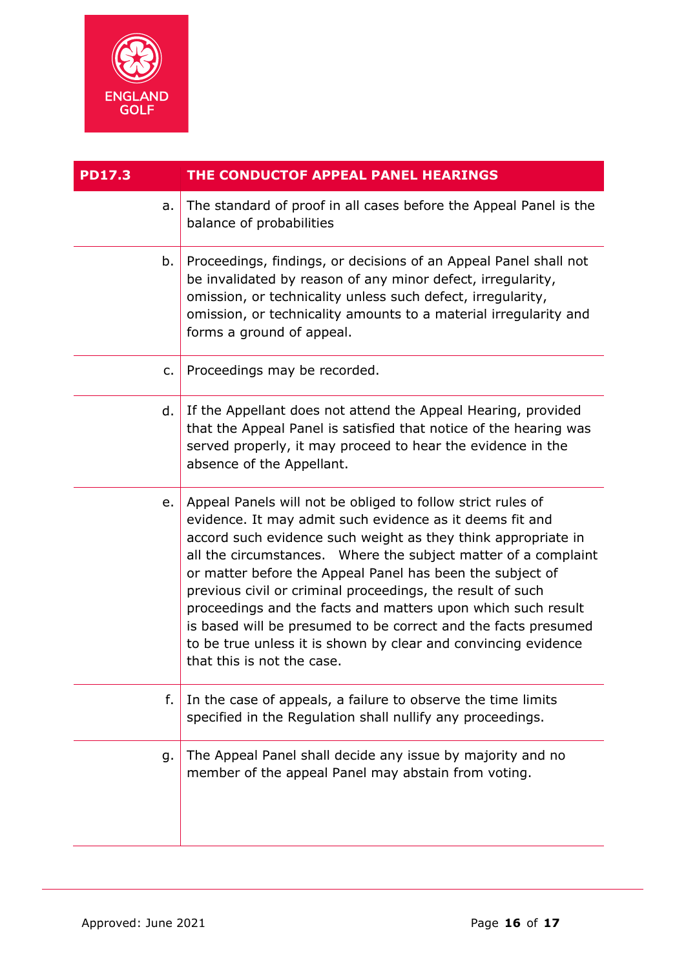

| <b>PD17.3</b> | THE CONDUCTOF APPEAL PANEL HEARINGS                                                                                                                                                                                                                                                                                                                                                                                                                                                                                                                                                                                     |
|---------------|-------------------------------------------------------------------------------------------------------------------------------------------------------------------------------------------------------------------------------------------------------------------------------------------------------------------------------------------------------------------------------------------------------------------------------------------------------------------------------------------------------------------------------------------------------------------------------------------------------------------------|
| a.            | The standard of proof in all cases before the Appeal Panel is the<br>balance of probabilities                                                                                                                                                                                                                                                                                                                                                                                                                                                                                                                           |
| b.            | Proceedings, findings, or decisions of an Appeal Panel shall not<br>be invalidated by reason of any minor defect, irregularity,<br>omission, or technicality unless such defect, irregularity,<br>omission, or technicality amounts to a material irregularity and<br>forms a ground of appeal.                                                                                                                                                                                                                                                                                                                         |
| c.            | Proceedings may be recorded.                                                                                                                                                                                                                                                                                                                                                                                                                                                                                                                                                                                            |
| d.            | If the Appellant does not attend the Appeal Hearing, provided<br>that the Appeal Panel is satisfied that notice of the hearing was<br>served properly, it may proceed to hear the evidence in the<br>absence of the Appellant.                                                                                                                                                                                                                                                                                                                                                                                          |
| e.            | Appeal Panels will not be obliged to follow strict rules of<br>evidence. It may admit such evidence as it deems fit and<br>accord such evidence such weight as they think appropriate in<br>all the circumstances. Where the subject matter of a complaint<br>or matter before the Appeal Panel has been the subject of<br>previous civil or criminal proceedings, the result of such<br>proceedings and the facts and matters upon which such result<br>is based will be presumed to be correct and the facts presumed<br>to be true unless it is shown by clear and convincing evidence<br>that this is not the case. |
| f.            | In the case of appeals, a failure to observe the time limits<br>specified in the Regulation shall nullify any proceedings.                                                                                                                                                                                                                                                                                                                                                                                                                                                                                              |
| g.            | The Appeal Panel shall decide any issue by majority and no<br>member of the appeal Panel may abstain from voting.                                                                                                                                                                                                                                                                                                                                                                                                                                                                                                       |